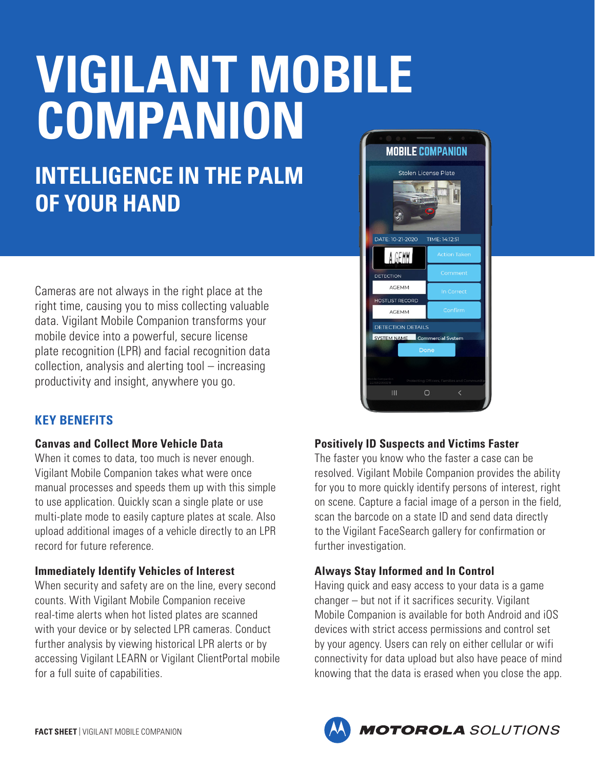# **VIGILANT MOBILE COMPANION**

# **INTELLIGENCE IN THE PALM OF YOUR HAND**

Cameras are not always in the right place at the right time, causing you to miss collecting valuable data. Vigilant Mobile Companion transforms your mobile device into a powerful, secure license plate recognition (LPR) and facial recognition data collection, analysis and alerting tool – increasing productivity and insight, anywhere you go.

## **KEY BENEFITS**

#### **Canvas and Collect More Vehicle Data**

When it comes to data, too much is never enough. Vigilant Mobile Companion takes what were once manual processes and speeds them up with this simple to use application. Quickly scan a single plate or use multi-plate mode to easily capture plates at scale. Also upload additional images of a vehicle directly to an LPR record for future reference.

#### **Immediately Identify Vehicles of Interest**

When security and safety are on the line, every second counts. With Vigilant Mobile Companion receive real-time alerts when hot listed plates are scanned with your device or by selected LPR cameras. Conduct further analysis by viewing historical LPR alerts or by accessing Vigilant LEARN or Vigilant ClientPortal mobile for a full suite of capabilities.



### **Positively ID Suspects and Victims Faster**

The faster you know who the faster a case can be resolved. Vigilant Mobile Companion provides the ability for you to more quickly identify persons of interest, right on scene. Capture a facial image of a person in the field, scan the barcode on a state ID and send data directly to the Vigilant FaceSearch gallery for confirmation or further investigation.

#### **Always Stay Informed and In Control**

Having quick and easy access to your data is a game changer – but not if it sacrifices security. Vigilant Mobile Companion is available for both Android and iOS devices with strict access permissions and control set by your agency. Users can rely on either cellular or wifi connectivity for data upload but also have peace of mind knowing that the data is erased when you close the app.